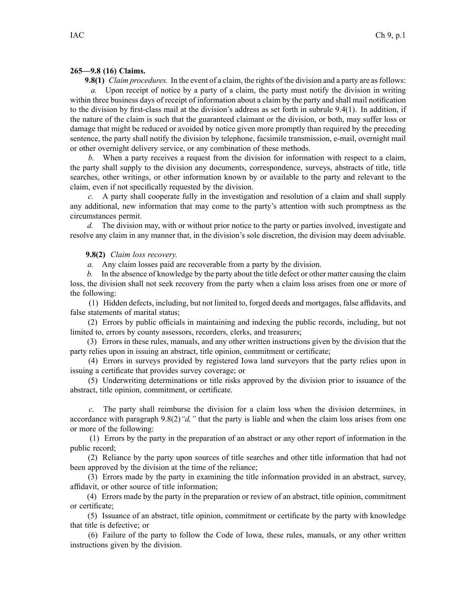## **265—9.8 (16) Claims.**

**9.8(1)** *Claim procedures.* In the event of <sup>a</sup> claim, the rights of the division and <sup>a</sup> party are asfollows: *a.* Upon receipt of notice by <sup>a</sup> party of <sup>a</sup> claim, the party must notify the division in writing within three business days of receipt of information about <sup>a</sup> claim by the party and shall mail notification to the division by first-class mail at the division's address as set forth in subrule 9.4(1). In addition, if the nature of the claim is such that the guaranteed claimant or the division, or both, may suffer loss or damage that might be reduced or avoided by notice given more promptly than required by the preceding sentence, the party shall notify the division by telephone, facsimile transmission, e-mail, overnight mail or other overnight delivery service, or any combination of these methods.

*b.* When <sup>a</sup> party receives <sup>a</sup> reques<sup>t</sup> from the division for information with respec<sup>t</sup> to <sup>a</sup> claim, the party shall supply to the division any documents, correspondence, surveys, abstracts of title, title searches, other writings, or other information known by or available to the party and relevant to the claim, even if not specifically requested by the division.

*c.* A party shall cooperate fully in the investigation and resolution of <sup>a</sup> claim and shall supply any additional, new information that may come to the party's attention with such promptness as the circumstances permit.

*d.* The division may, with or without prior notice to the party or parties involved, investigate and resolve any claim in any manner that, in the division's sole discretion, the division may deem advisable.

## **9.8(2)** *Claim loss recovery.*

*a.* Any claim losses paid are recoverable from <sup>a</sup> party by the division.

*b.* In the absence of knowledge by the party about the title defect or other matter causing the claim loss, the division shall not seek recovery from the party when <sup>a</sup> claim loss arises from one or more of the following:

(1) Hidden defects, including, but not limited to, forged deeds and mortgages, false affidavits, and false statements of marital status;

(2) Errors by public officials in maintaining and indexing the public records, including, but not limited to, errors by county assessors, recorders, clerks, and treasurers;

(3) Errors in these rules, manuals, and any other written instructions given by the division that the party relies upon in issuing an abstract, title opinion, commitment or certificate;

(4) Errors in surveys provided by registered Iowa land surveyors that the party relies upon in issuing <sup>a</sup> certificate that provides survey coverage; or

(5) Underwriting determinations or title risks approved by the division prior to issuance of the abstract, title opinion, commitment, or certificate.

*c.* The party shall reimburse the division for <sup>a</sup> claim loss when the division determines, in accordance with paragraph 9.8(2)*"d,"* that the party is liable and when the claim loss arises from one or more of the following:

(1) Errors by the party in the preparation of an abstract or any other repor<sup>t</sup> of information in the public record;

(2) Reliance by the party upon sources of title searches and other title information that had not been approved by the division at the time of the reliance;

(3) Errors made by the party in examining the title information provided in an abstract, survey, affidavit, or other source of title information;

(4) Errors made by the party in the preparation or review of an abstract, title opinion, commitment or certificate;

(5) Issuance of an abstract, title opinion, commitment or certificate by the party with knowledge that title is defective; or

(6) Failure of the party to follow the Code of Iowa, these rules, manuals, or any other written instructions given by the division.